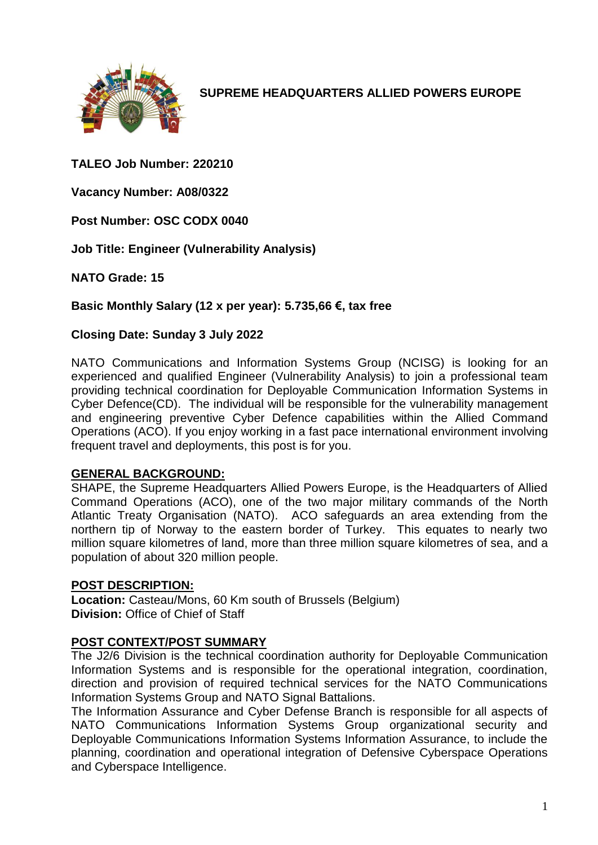

**SUPREME HEADQUARTERS ALLIED POWERS EUROPE**

# **TALEO Job Number: 220210**

**Vacancy Number: A08/0322**

**Post Number: OSC CODX 0040**

**Job Title: Engineer (Vulnerability Analysis)**

**NATO Grade: 15**

**Basic Monthly Salary (12 x per year): 5.735,66 €, tax free** 

### **Closing Date: Sunday 3 July 2022**

NATO Communications and Information Systems Group (NCISG) is looking for an experienced and qualified Engineer (Vulnerability Analysis) to join a professional team providing technical coordination for Deployable Communication Information Systems in Cyber Defence(CD). The individual will be responsible for the vulnerability management and engineering preventive Cyber Defence capabilities within the Allied Command Operations (ACO). If you enjoy working in a fast pace international environment involving frequent travel and deployments, this post is for you.

#### **GENERAL BACKGROUND:**

SHAPE, the Supreme Headquarters Allied Powers Europe, is the Headquarters of Allied Command Operations (ACO), one of the two major military commands of the North Atlantic Treaty Organisation (NATO). ACO safeguards an area extending from the northern tip of Norway to the eastern border of Turkey. This equates to nearly two million square kilometres of land, more than three million square kilometres of sea, and a population of about 320 million people.

#### **POST DESCRIPTION:**

**Location:** Casteau/Mons, 60 Km south of Brussels (Belgium) **Division:** Office of Chief of Staff

### **POST CONTEXT/POST SUMMARY**

The J2/6 Division is the technical coordination authority for Deployable Communication Information Systems and is responsible for the operational integration, coordination, direction and provision of required technical services for the NATO Communications Information Systems Group and NATO Signal Battalions.

The Information Assurance and Cyber Defense Branch is responsible for all aspects of NATO Communications Information Systems Group organizational security and Deployable Communications Information Systems Information Assurance, to include the planning, coordination and operational integration of Defensive Cyberspace Operations and Cyberspace Intelligence.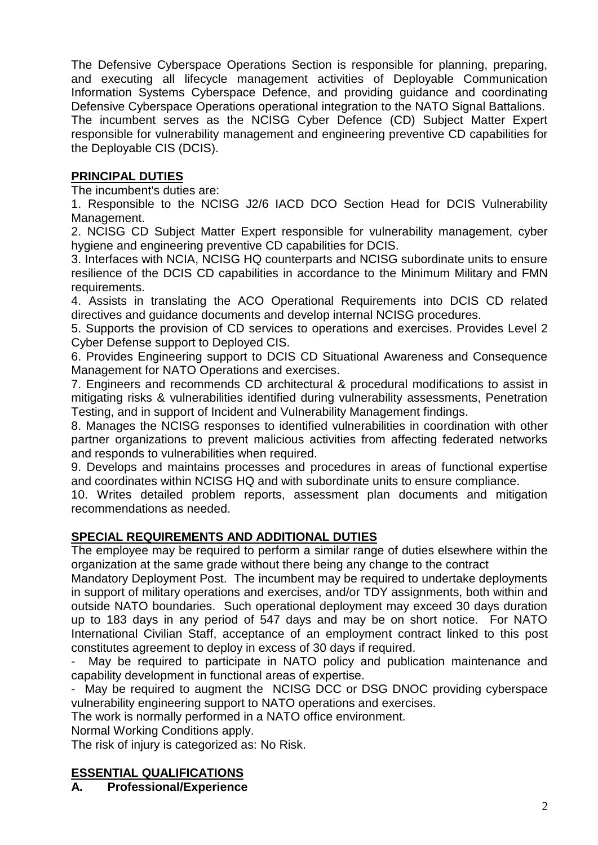The Defensive Cyberspace Operations Section is responsible for planning, preparing, and executing all lifecycle management activities of Deployable Communication Information Systems Cyberspace Defence, and providing guidance and coordinating Defensive Cyberspace Operations operational integration to the NATO Signal Battalions. The incumbent serves as the NCISG Cyber Defence (CD) Subject Matter Expert responsible for vulnerability management and engineering preventive CD capabilities for the Deployable CIS (DCIS).

# **PRINCIPAL DUTIES**

The incumbent's duties are:

1. Responsible to the NCISG J2/6 IACD DCO Section Head for DCIS Vulnerability Management.

2. NCISG CD Subject Matter Expert responsible for vulnerability management, cyber hygiene and engineering preventive CD capabilities for DCIS.

3. Interfaces with NCIA, NCISG HQ counterparts and NCISG subordinate units to ensure resilience of the DCIS CD capabilities in accordance to the Minimum Military and FMN requirements.

4. Assists in translating the ACO Operational Requirements into DCIS CD related directives and guidance documents and develop internal NCISG procedures.

5. Supports the provision of CD services to operations and exercises. Provides Level 2 Cyber Defense support to Deployed CIS.

6. Provides Engineering support to DCIS CD Situational Awareness and Consequence Management for NATO Operations and exercises.

7. Engineers and recommends CD architectural & procedural modifications to assist in mitigating risks & vulnerabilities identified during vulnerability assessments, Penetration Testing, and in support of Incident and Vulnerability Management findings.

8. Manages the NCISG responses to identified vulnerabilities in coordination with other partner organizations to prevent malicious activities from affecting federated networks and responds to vulnerabilities when required.

9. Develops and maintains processes and procedures in areas of functional expertise and coordinates within NCISG HQ and with subordinate units to ensure compliance.

10. Writes detailed problem reports, assessment plan documents and mitigation recommendations as needed.

### **SPECIAL REQUIREMENTS AND ADDITIONAL DUTIES**

The employee may be required to perform a similar range of duties elsewhere within the organization at the same grade without there being any change to the contract

Mandatory Deployment Post. The incumbent may be required to undertake deployments in support of military operations and exercises, and/or TDY assignments, both within and outside NATO boundaries. Such operational deployment may exceed 30 days duration up to 183 days in any period of 547 days and may be on short notice. For NATO International Civilian Staff, acceptance of an employment contract linked to this post constitutes agreement to deploy in excess of 30 days if required.

May be required to participate in NATO policy and publication maintenance and capability development in functional areas of expertise.

- May be required to augment the NCISG DCC or DSG DNOC providing cyberspace vulnerability engineering support to NATO operations and exercises.

The work is normally performed in a NATO office environment.

Normal Working Conditions apply.

The risk of injury is categorized as: No Risk.

### **ESSENTIAL QUALIFICATIONS**

**A. Professional/Experience**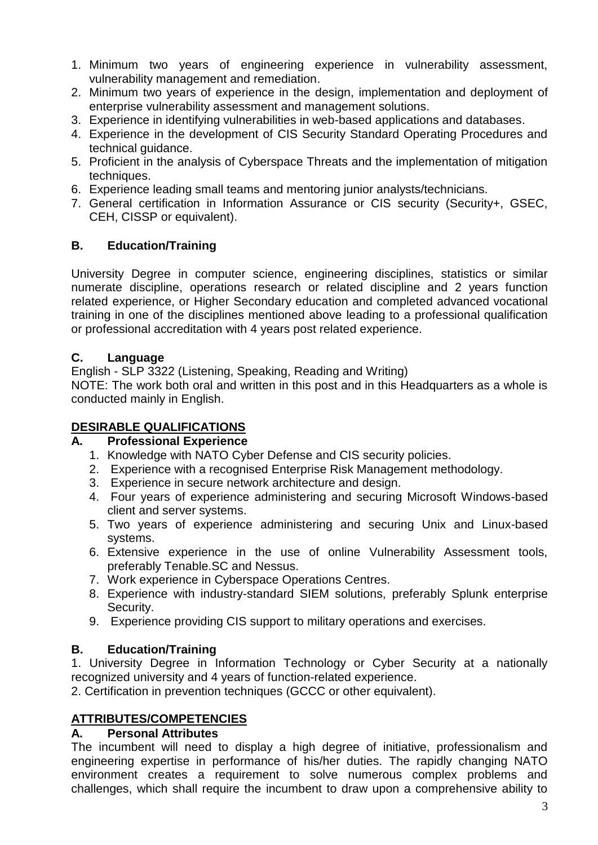- 1. Minimum two years of engineering experience in vulnerability assessment, vulnerability management and remediation.
- 2. Minimum two years of experience in the design, implementation and deployment of enterprise vulnerability assessment and management solutions.
- 3. Experience in identifying vulnerabilities in web-based applications and databases.
- 4. Experience in the development of CIS Security Standard Operating Procedures and technical guidance.
- 5. Proficient in the analysis of Cyberspace Threats and the implementation of mitigation techniques.
- 6. Experience leading small teams and mentoring junior analysts/technicians.
- 7. General certification in Information Assurance or CIS security (Security+, GSEC, CEH, CISSP or equivalent).

# **B. Education/Training**

University Degree in computer science, engineering disciplines, statistics or similar numerate discipline, operations research or related discipline and 2 years function related experience, or Higher Secondary education and completed advanced vocational training in one of the disciplines mentioned above leading to a professional qualification or professional accreditation with 4 years post related experience.

# **C. Language**

English - SLP 3322 (Listening, Speaking, Reading and Writing)

NOTE: The work both oral and written in this post and in this Headquarters as a whole is conducted mainly in English.

# **DESIRABLE QUALIFICATIONS**

### **A. Professional Experience**

- 1. Knowledge with NATO Cyber Defense and CIS security policies.
- 2. Experience with a recognised Enterprise Risk Management methodology.
- 3. Experience in secure network architecture and design.
- 4. Four years of experience administering and securing Microsoft Windows-based client and server systems.
- 5. Two years of experience administering and securing Unix and Linux-based systems.
- 6. Extensive experience in the use of online Vulnerability Assessment tools, preferably Tenable.SC and Nessus.
- 7. Work experience in Cyberspace Operations Centres.
- 8. Experience with industry-standard SIEM solutions, preferably Splunk enterprise Security.
- 9. Experience providing CIS support to military operations and exercises.

# **B. Education/Training**

1. University Degree in Information Technology or Cyber Security at a nationally recognized university and 4 years of function-related experience.

2. Certification in prevention techniques (GCCC or other equivalent).

### **ATTRIBUTES/COMPETENCIES**

### **A. Personal Attributes**

The incumbent will need to display a high degree of initiative, professionalism and engineering expertise in performance of his/her duties. The rapidly changing NATO environment creates a requirement to solve numerous complex problems and challenges, which shall require the incumbent to draw upon a comprehensive ability to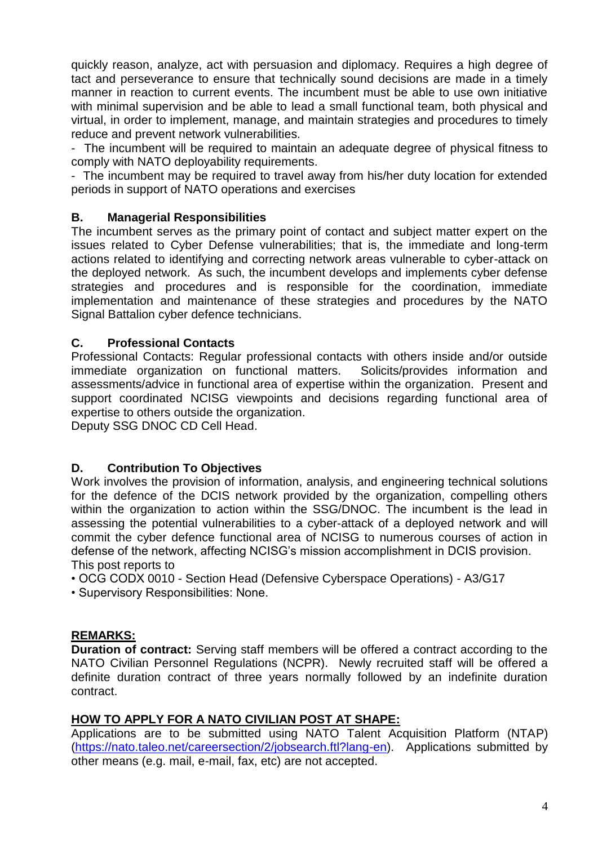quickly reason, analyze, act with persuasion and diplomacy. Requires a high degree of tact and perseverance to ensure that technically sound decisions are made in a timely manner in reaction to current events. The incumbent must be able to use own initiative with minimal supervision and be able to lead a small functional team, both physical and virtual, in order to implement, manage, and maintain strategies and procedures to timely reduce and prevent network vulnerabilities.

- The incumbent will be required to maintain an adequate degree of physical fitness to comply with NATO deployability requirements.

- The incumbent may be required to travel away from his/her duty location for extended periods in support of NATO operations and exercises

# **B. Managerial Responsibilities**

The incumbent serves as the primary point of contact and subject matter expert on the issues related to Cyber Defense vulnerabilities; that is, the immediate and long-term actions related to identifying and correcting network areas vulnerable to cyber-attack on the deployed network. As such, the incumbent develops and implements cyber defense strategies and procedures and is responsible for the coordination, immediate implementation and maintenance of these strategies and procedures by the NATO Signal Battalion cyber defence technicians.

### **C. Professional Contacts**

Professional Contacts: Regular professional contacts with others inside and/or outside immediate organization on functional matters. Solicits/provides information and assessments/advice in functional area of expertise within the organization. Present and support coordinated NCISG viewpoints and decisions regarding functional area of expertise to others outside the organization.

Deputy SSG DNOC CD Cell Head.

# **D. Contribution To Objectives**

Work involves the provision of information, analysis, and engineering technical solutions for the defence of the DCIS network provided by the organization, compelling others within the organization to action within the SSG/DNOC. The incumbent is the lead in assessing the potential vulnerabilities to a cyber-attack of a deployed network and will commit the cyber defence functional area of NCISG to numerous courses of action in defense of the network, affecting NCISG's mission accomplishment in DCIS provision. This post reports to

- OCG CODX 0010 Section Head (Defensive Cyberspace Operations) A3/G17
- Supervisory Responsibilities: None.

### **REMARKS:**

**Duration of contract:** Serving staff members will be offered a contract according to the NATO Civilian Personnel Regulations (NCPR). Newly recruited staff will be offered a definite duration contract of three years normally followed by an indefinite duration contract.

### **HOW TO APPLY FOR A NATO CIVILIAN POST AT SHAPE:**

Applications are to be submitted using NATO Talent Acquisition Platform (NTAP) [\(https://nato.taleo.net/careersection/2/jobsearch.ftl?lang-en\)](https://nato.taleo.net/careersection/1/jobsearch.ftl?lang-en). Applications submitted by other means (e.g. mail, e-mail, fax, etc) are not accepted.